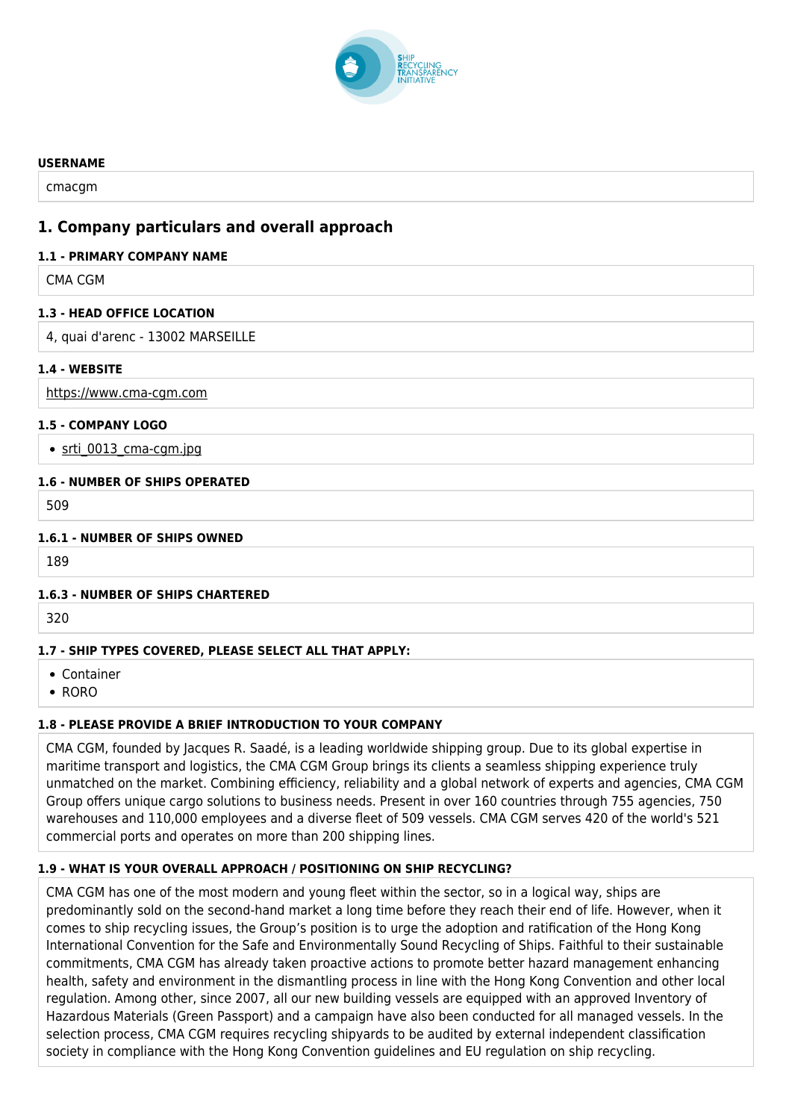

#### **USERNAME**

cmacgm

# **1. Company particulars and overall approach**

### **1.1 - PRIMARY COMPANY NAME**

CMA CGM

### **1.3 - HEAD OFFICE LOCATION**

4, quai d'arenc - 13002 MARSEILLE

### **1.4 - WEBSITE**

<https://www.cma-cgm.com>

### **1.5 - COMPANY LOGO**

• srti\_0013 cma-cgm.jpg

### **1.6 - NUMBER OF SHIPS OPERATED**

509

### **1.6.1 - NUMBER OF SHIPS OWNED**

189

### **1.6.3 - NUMBER OF SHIPS CHARTERED**

320

# **1.7 - SHIP TYPES COVERED, PLEASE SELECT ALL THAT APPLY:**

- Container
- RORO

### **1.8 - PLEASE PROVIDE A BRIEF INTRODUCTION TO YOUR COMPANY**

CMA CGM, founded by Jacques R. Saadé, is a leading worldwide shipping group. Due to its global expertise in maritime transport and logistics, the CMA CGM Group brings its clients a seamless shipping experience truly unmatched on the market. Combining efficiency, reliability and a global network of experts and agencies, CMA CGM Group offers unique cargo solutions to business needs. Present in over 160 countries through 755 agencies, 750 warehouses and 110,000 employees and a diverse fleet of 509 vessels. CMA CGM serves 420 of the world's 521 commercial ports and operates on more than 200 shipping lines.

# **1.9 - WHAT IS YOUR OVERALL APPROACH / POSITIONING ON SHIP RECYCLING?**

CMA CGM has one of the most modern and young fleet within the sector, so in a logical way, ships are predominantly sold on the second-hand market a long time before they reach their end of life. However, when it comes to ship recycling issues, the Group's position is to urge the adoption and ratification of the Hong Kong International Convention for the Safe and Environmentally Sound Recycling of Ships. Faithful to their sustainable commitments, CMA CGM has already taken proactive actions to promote better hazard management enhancing health, safety and environment in the dismantling process in line with the Hong Kong Convention and other local regulation. Among other, since 2007, all our new building vessels are equipped with an approved Inventory of Hazardous Materials (Green Passport) and a campaign have also been conducted for all managed vessels. In the selection process, CMA CGM requires recycling shipyards to be audited by external independent classification society in compliance with the Hong Kong Convention guidelines and EU regulation on ship recycling.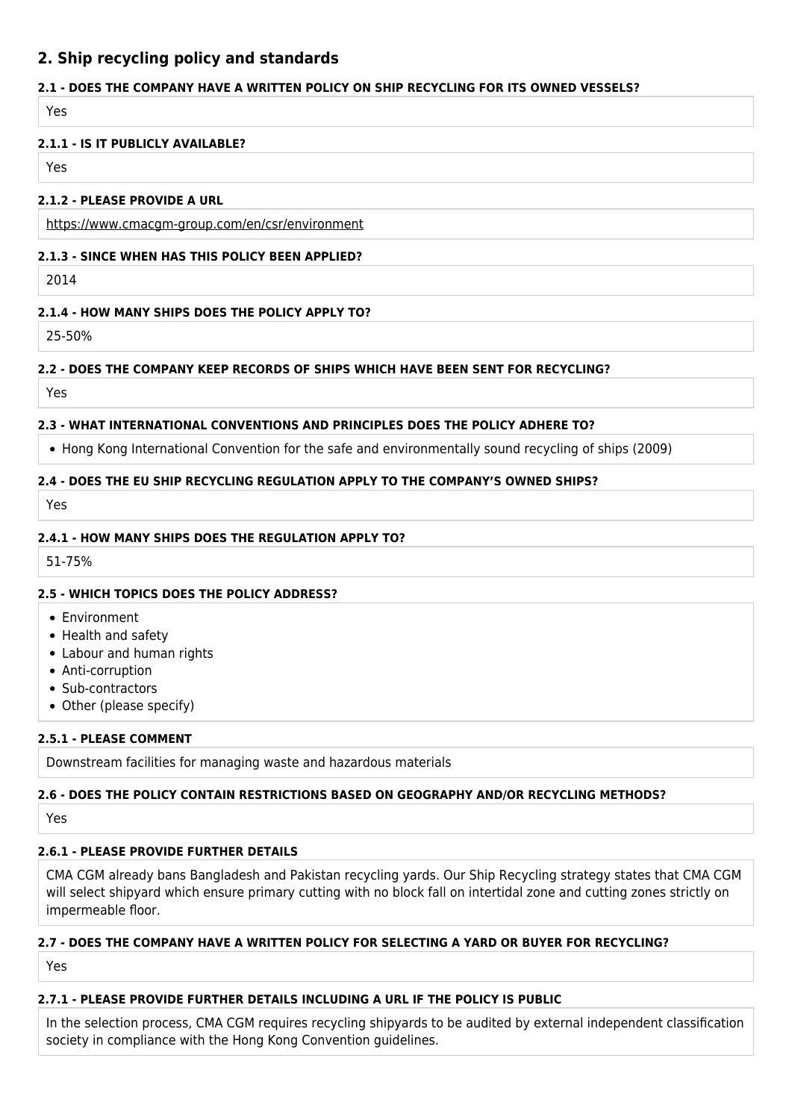# **2. Ship recycling policy and standards**

# **2.1 - DOES THE COMPANY HAVE A WRITTEN POLICY ON SHIP RECYCLING FOR ITS OWNED VESSELS?**

Yes

### **2.1.1 - IS IT PUBLICLY AVAILABLE?**

Yes

### **2.1.2 - PLEASE PROVIDE A URL**

<https://www.cmacgm-group.com/en/csr/environment>

## **2.1.3 - SINCE WHEN HAS THIS POLICY BEEN APPLIED?**

2014

# **2.1.4 - HOW MANY SHIPS DOES THE POLICY APPLY TO?**

25-50%

# **2.2 - DOES THE COMPANY KEEP RECORDS OF SHIPS WHICH HAVE BEEN SENT FOR RECYCLING?**

Yes

# **2.3 - WHAT INTERNATIONAL CONVENTIONS AND PRINCIPLES DOES THE POLICY ADHERE TO?**

• Hong Kong International Convention for the safe and environmentally sound recycling of ships (2009)

### **2.4 - DOES THE EU SHIP RECYCLING REGULATION APPLY TO THE COMPANY'S OWNED SHIPS?**

Yes

### **2.4.1 - HOW MANY SHIPS DOES THE REGULATION APPLY TO?**

51-75%

# **2.5 - WHICH TOPICS DOES THE POLICY ADDRESS?**

- Environment
- Health and safety
- Labour and human rights
- Anti-corruption
- Sub-contractors
- Other (please specify)

# **2.5.1 - PLEASE COMMENT**

Downstream facilities for managing waste and hazardous materials

# **2.6 - DOES THE POLICY CONTAIN RESTRICTIONS BASED ON GEOGRAPHY AND/OR RECYCLING METHODS?**

Yes

# **2.6.1 - PLEASE PROVIDE FURTHER DETAILS**

CMA CGM already bans Bangladesh and Pakistan recycling yards. Our Ship Recycling strategy states that CMA CGM will select shipyard which ensure primary cutting with no block fall on intertidal zone and cutting zones strictly on impermeable floor.

# **2.7 - DOES THE COMPANY HAVE A WRITTEN POLICY FOR SELECTING A YARD OR BUYER FOR RECYCLING?**

Yes

# **2.7.1 - PLEASE PROVIDE FURTHER DETAILS INCLUDING A URL IF THE POLICY IS PUBLIC**

In the selection process, CMA CGM requires recycling shipyards to be audited by external independent classification society in compliance with the Hong Kong Convention guidelines.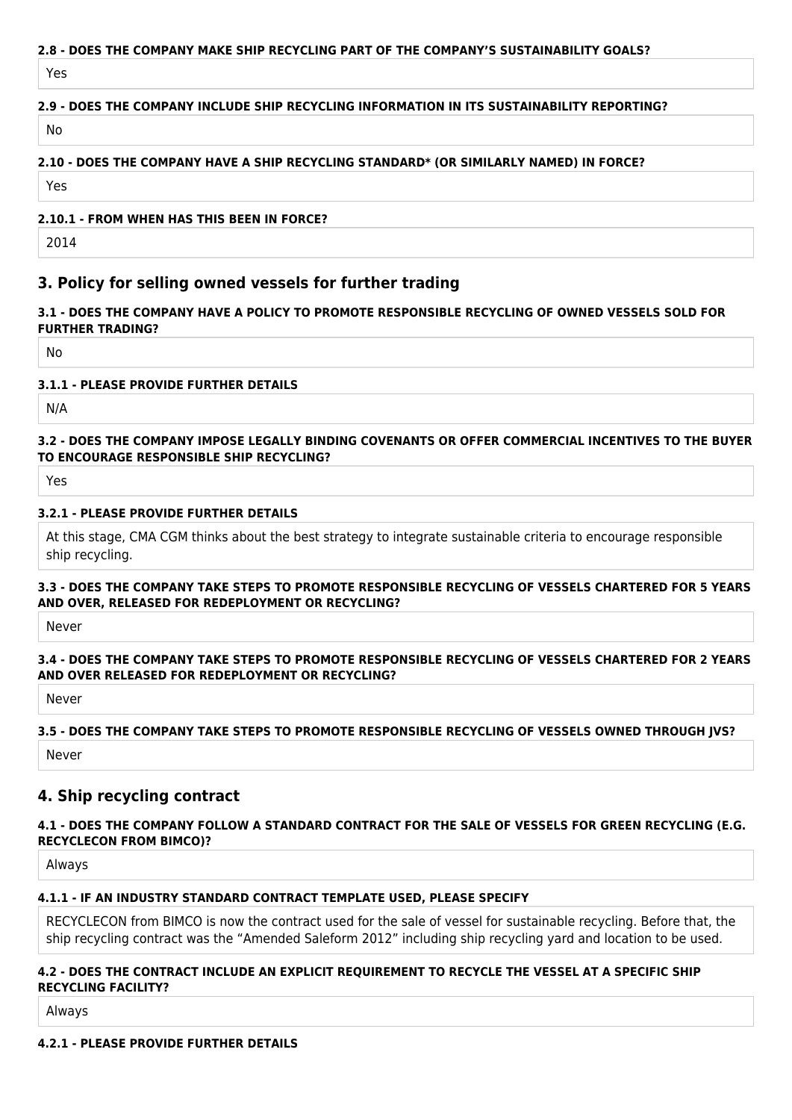### **2.8 - DOES THE COMPANY MAKE SHIP RECYCLING PART OF THE COMPANY'S SUSTAINABILITY GOALS?**

Yes

### **2.9 - DOES THE COMPANY INCLUDE SHIP RECYCLING INFORMATION IN ITS SUSTAINABILITY REPORTING?**

No

#### **2.10 - DOES THE COMPANY HAVE A SHIP RECYCLING STANDARD\* (OR SIMILARLY NAMED) IN FORCE?**

Yes

#### **2.10.1 - FROM WHEN HAS THIS BEEN IN FORCE?**

2014

# **3. Policy for selling owned vessels for further trading**

#### **3.1 - DOES THE COMPANY HAVE A POLICY TO PROMOTE RESPONSIBLE RECYCLING OF OWNED VESSELS SOLD FOR FURTHER TRADING?**

No

#### **3.1.1 - PLEASE PROVIDE FURTHER DETAILS**

N/A

### **3.2 - DOES THE COMPANY IMPOSE LEGALLY BINDING COVENANTS OR OFFER COMMERCIAL INCENTIVES TO THE BUYER TO ENCOURAGE RESPONSIBLE SHIP RECYCLING?**

Yes

#### **3.2.1 - PLEASE PROVIDE FURTHER DETAILS**

At this stage, CMA CGM thinks about the best strategy to integrate sustainable criteria to encourage responsible ship recycling.

#### **3.3 - DOES THE COMPANY TAKE STEPS TO PROMOTE RESPONSIBLE RECYCLING OF VESSELS CHARTERED FOR 5 YEARS AND OVER, RELEASED FOR REDEPLOYMENT OR RECYCLING?**

Never

#### **3.4 - DOES THE COMPANY TAKE STEPS TO PROMOTE RESPONSIBLE RECYCLING OF VESSELS CHARTERED FOR 2 YEARS AND OVER RELEASED FOR REDEPLOYMENT OR RECYCLING?**

Never

#### **3.5 - DOES THE COMPANY TAKE STEPS TO PROMOTE RESPONSIBLE RECYCLING OF VESSELS OWNED THROUGH JVS?**

Never

### **4. Ship recycling contract**

#### **4.1 - DOES THE COMPANY FOLLOW A STANDARD CONTRACT FOR THE SALE OF VESSELS FOR GREEN RECYCLING (E.G. RECYCLECON FROM BIMCO)?**

Always

#### **4.1.1 - IF AN INDUSTRY STANDARD CONTRACT TEMPLATE USED, PLEASE SPECIFY**

RECYCLECON from BIMCO is now the contract used for the sale of vessel for sustainable recycling. Before that, the ship recycling contract was the "Amended Saleform 2012" including ship recycling yard and location to be used.

#### **4.2 - DOES THE CONTRACT INCLUDE AN EXPLICIT REQUIREMENT TO RECYCLE THE VESSEL AT A SPECIFIC SHIP RECYCLING FACILITY?**

Always

**4.2.1 - PLEASE PROVIDE FURTHER DETAILS**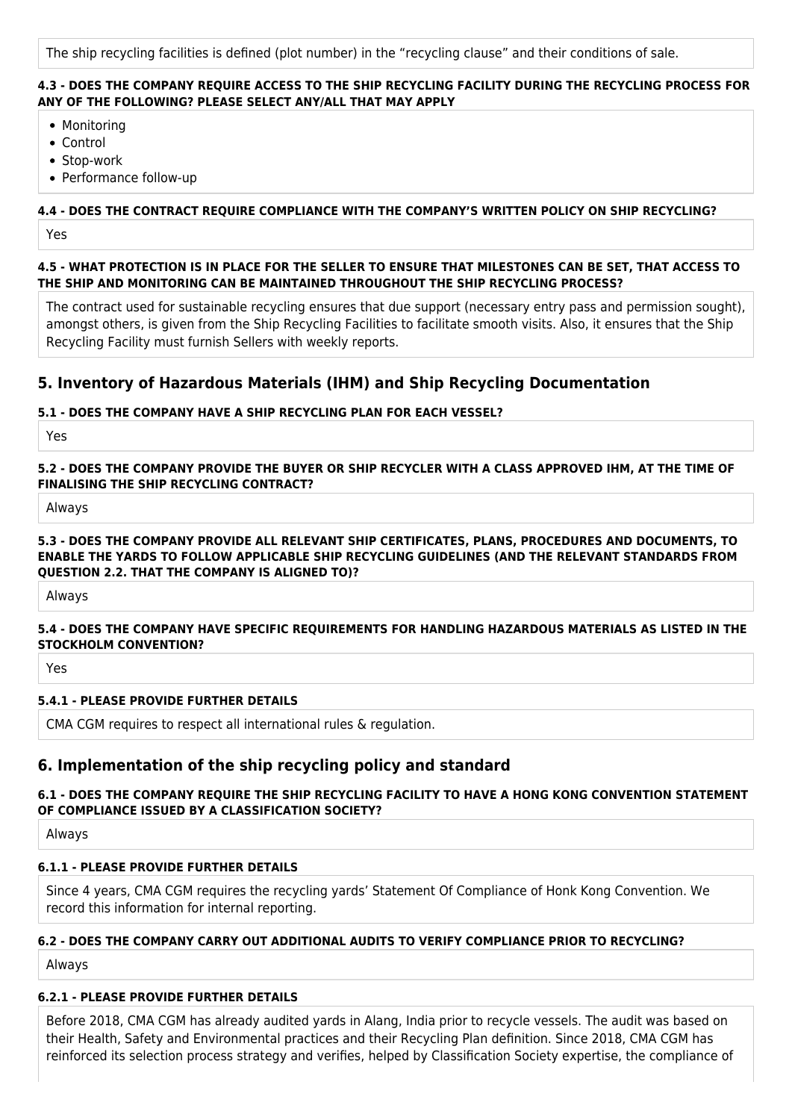The ship recycling facilities is defined (plot number) in the "recycling clause" and their conditions of sale.

#### **4.3 - DOES THE COMPANY REQUIRE ACCESS TO THE SHIP RECYCLING FACILITY DURING THE RECYCLING PROCESS FOR ANY OF THE FOLLOWING? PLEASE SELECT ANY/ALL THAT MAY APPLY**

- Monitoring
- Control
- Stop-work
- Performance follow-up

### **4.4 - DOES THE CONTRACT REQUIRE COMPLIANCE WITH THE COMPANY'S WRITTEN POLICY ON SHIP RECYCLING?**

Yes

**4.5 - WHAT PROTECTION IS IN PLACE FOR THE SELLER TO ENSURE THAT MILESTONES CAN BE SET, THAT ACCESS TO THE SHIP AND MONITORING CAN BE MAINTAINED THROUGHOUT THE SHIP RECYCLING PROCESS?**

The contract used for sustainable recycling ensures that due support (necessary entry pass and permission sought), amongst others, is given from the Ship Recycling Facilities to facilitate smooth visits. Also, it ensures that the Ship Recycling Facility must furnish Sellers with weekly reports.

# **5. Inventory of Hazardous Materials (IHM) and Ship Recycling Documentation**

### **5.1 - DOES THE COMPANY HAVE A SHIP RECYCLING PLAN FOR EACH VESSEL?**

Yes

**5.2 - DOES THE COMPANY PROVIDE THE BUYER OR SHIP RECYCLER WITH A CLASS APPROVED IHM, AT THE TIME OF FINALISING THE SHIP RECYCLING CONTRACT?**

Always

#### **5.3 - DOES THE COMPANY PROVIDE ALL RELEVANT SHIP CERTIFICATES, PLANS, PROCEDURES AND DOCUMENTS, TO ENABLE THE YARDS TO FOLLOW APPLICABLE SHIP RECYCLING GUIDELINES (AND THE RELEVANT STANDARDS FROM QUESTION 2.2. THAT THE COMPANY IS ALIGNED TO)?**

Always

#### **5.4 - DOES THE COMPANY HAVE SPECIFIC REQUIREMENTS FOR HANDLING HAZARDOUS MATERIALS AS LISTED IN THE STOCKHOLM CONVENTION?**

Yes

### **5.4.1 - PLEASE PROVIDE FURTHER DETAILS**

CMA CGM requires to respect all international rules & regulation.

# **6. Implementation of the ship recycling policy and standard**

### **6.1 - DOES THE COMPANY REQUIRE THE SHIP RECYCLING FACILITY TO HAVE A HONG KONG CONVENTION STATEMENT OF COMPLIANCE ISSUED BY A CLASSIFICATION SOCIETY?**

Always

### **6.1.1 - PLEASE PROVIDE FURTHER DETAILS**

Since 4 years, CMA CGM requires the recycling yards' Statement Of Compliance of Honk Kong Convention. We record this information for internal reporting.

### **6.2 - DOES THE COMPANY CARRY OUT ADDITIONAL AUDITS TO VERIFY COMPLIANCE PRIOR TO RECYCLING?**

Always

### **6.2.1 - PLEASE PROVIDE FURTHER DETAILS**

Before 2018, CMA CGM has already audited yards in Alang, India prior to recycle vessels. The audit was based on their Health, Safety and Environmental practices and their Recycling Plan definition. Since 2018, CMA CGM has reinforced its selection process strategy and verifies, helped by Classification Society expertise, the compliance of